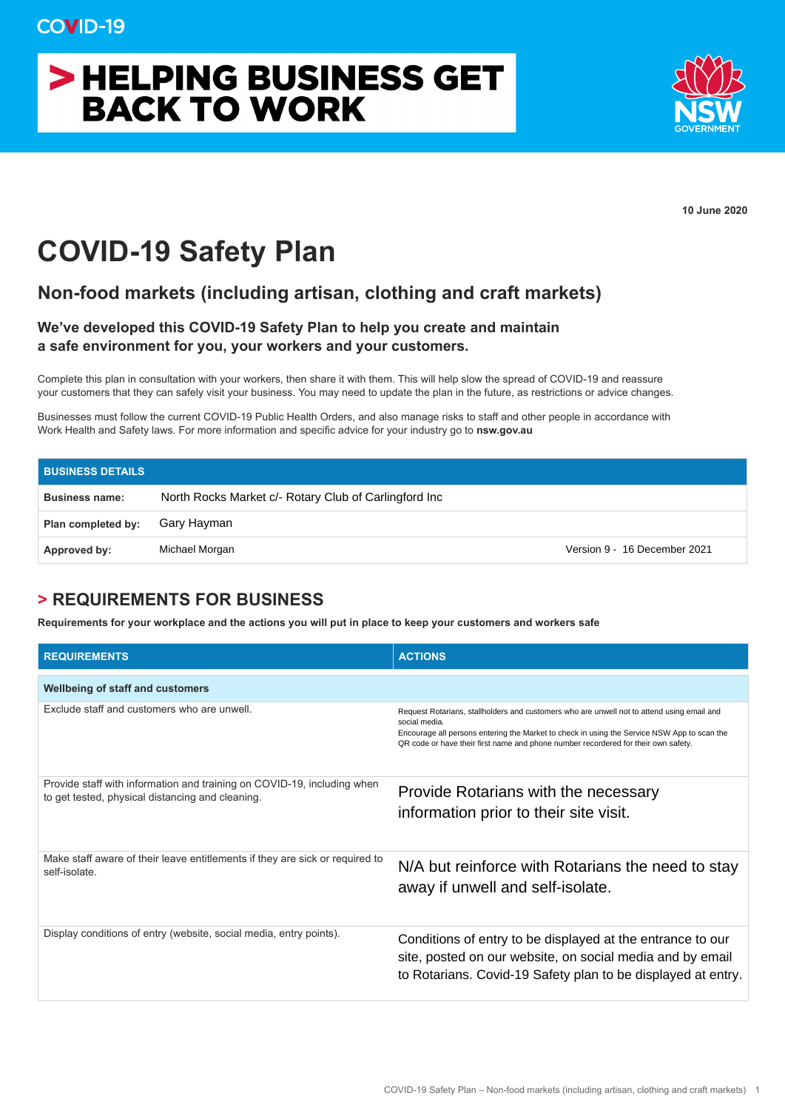# > HELPING BUSINESS GET **BACK TO WORK**



**10 June 2020**

## **COVID-19 Safety Plan**

#### **Non-food markets (including artisan, clothing and craft markets)**

#### **We've developed this COVID-19 Safety Plan to help you create and maintain a safe environment for you, your workers and your customers.**

Complete this plan in consultation with your workers, then share it with them. This will help slow the spread of COVID-19 and reassure your customers that they can safely visit your business. You may need to update the plan in the future, as restrictions or advice changes.

Businesses must follow the current COVID-19 Public Health Orders, and also manage risks to staff and other people in accordance with Work Health and Safety laws. For more information and specific advice for your industry go to **nsw.gov.au**

| <b>BUSINESS DETAILS</b> |                                                       |                              |
|-------------------------|-------------------------------------------------------|------------------------------|
| <b>Business name:</b>   | North Rocks Market c/- Rotary Club of Carlingford Inc |                              |
| Plan completed by:      | Gary Hayman                                           |                              |
| Approved by:            | Michael Morgan                                        | Version 9 - 16 December 2021 |

### **> REQUIREMENTS FOR BUSINESS**

**Requirements for your workplace and the actions you will put in place to keep your customers and workers safe** 

| <b>REQUIREMENTS</b>                                                                                                         | <b>ACTIONS</b>                                                                                                                                                                                                                                                                                   |
|-----------------------------------------------------------------------------------------------------------------------------|--------------------------------------------------------------------------------------------------------------------------------------------------------------------------------------------------------------------------------------------------------------------------------------------------|
| <b>Wellbeing of staff and customers</b>                                                                                     |                                                                                                                                                                                                                                                                                                  |
| Exclude staff and customers who are unwell.                                                                                 | Request Rotarians, stallholders and customers who are unwell not to attend using email and<br>social media.<br>Encourage all persons entering the Market to check in using the Service NSW App to scan the<br>QR code or have their first name and phone number recordered for their own safety. |
| Provide staff with information and training on COVID-19, including when<br>to get tested, physical distancing and cleaning. | Provide Rotarians with the necessary<br>information prior to their site visit.                                                                                                                                                                                                                   |
| Make staff aware of their leave entitlements if they are sick or required to<br>self-isolate.                               | N/A but reinforce with Rotarians the need to stay<br>away if unwell and self-isolate.                                                                                                                                                                                                            |
| Display conditions of entry (website, social media, entry points).                                                          | Conditions of entry to be displayed at the entrance to our<br>site, posted on our website, on social media and by email<br>to Rotarians. Covid-19 Safety plan to be displayed at entry.                                                                                                          |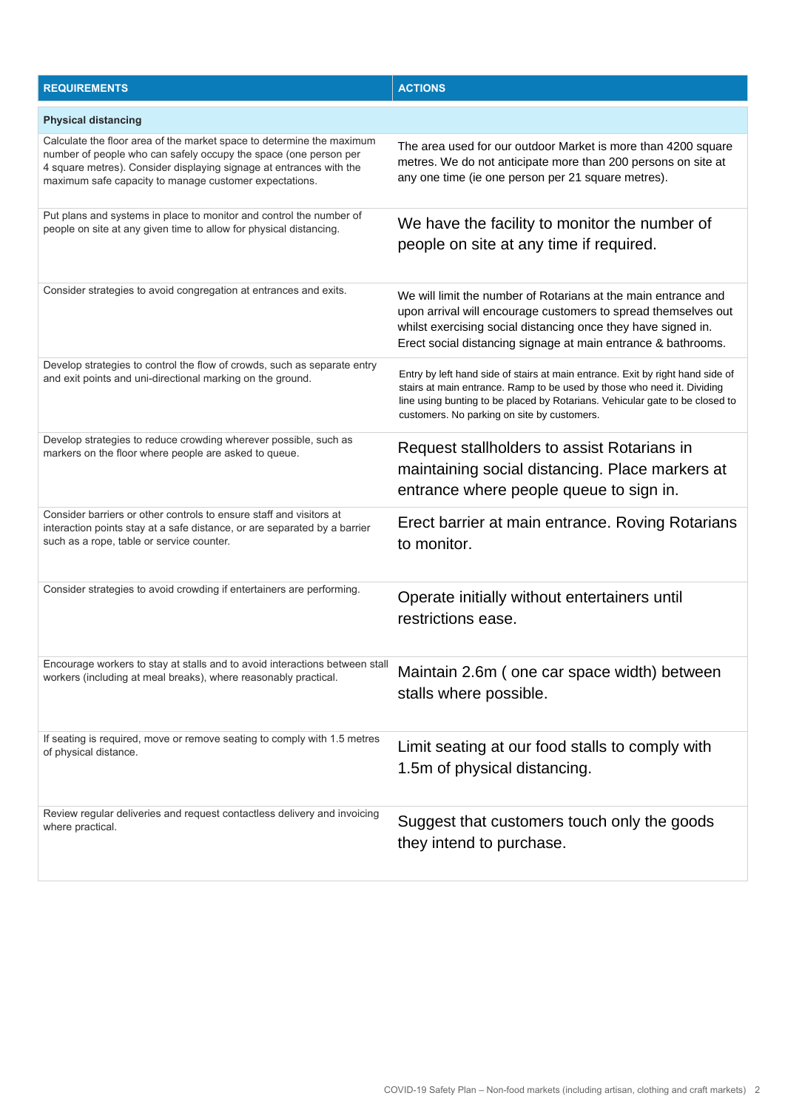| <b>REQUIREMENTS</b>                                                                                                                                                                                                                                                        | <b>ACTIONS</b>                                                                                                                                                                                                                                                                           |  |  |  |
|----------------------------------------------------------------------------------------------------------------------------------------------------------------------------------------------------------------------------------------------------------------------------|------------------------------------------------------------------------------------------------------------------------------------------------------------------------------------------------------------------------------------------------------------------------------------------|--|--|--|
| <b>Physical distancing</b>                                                                                                                                                                                                                                                 |                                                                                                                                                                                                                                                                                          |  |  |  |
| Calculate the floor area of the market space to determine the maximum<br>number of people who can safely occupy the space (one person per<br>4 square metres). Consider displaying signage at entrances with the<br>maximum safe capacity to manage customer expectations. | The area used for our outdoor Market is more than 4200 square<br>metres. We do not anticipate more than 200 persons on site at<br>any one time (ie one person per 21 square metres).                                                                                                     |  |  |  |
| Put plans and systems in place to monitor and control the number of<br>people on site at any given time to allow for physical distancing.                                                                                                                                  | We have the facility to monitor the number of<br>people on site at any time if required.                                                                                                                                                                                                 |  |  |  |
| Consider strategies to avoid congregation at entrances and exits.                                                                                                                                                                                                          | We will limit the number of Rotarians at the main entrance and<br>upon arrival will encourage customers to spread themselves out<br>whilst exercising social distancing once they have signed in.<br>Erect social distancing signage at main entrance & bathrooms.                       |  |  |  |
| Develop strategies to control the flow of crowds, such as separate entry<br>and exit points and uni-directional marking on the ground.                                                                                                                                     | Entry by left hand side of stairs at main entrance. Exit by right hand side of<br>stairs at main entrance. Ramp to be used by those who need it. Dividing<br>line using bunting to be placed by Rotarians. Vehicular gate to be closed to<br>customers. No parking on site by customers. |  |  |  |
| Develop strategies to reduce crowding wherever possible, such as<br>markers on the floor where people are asked to queue.                                                                                                                                                  | Request stallholders to assist Rotarians in<br>maintaining social distancing. Place markers at<br>entrance where people queue to sign in.                                                                                                                                                |  |  |  |
| Consider barriers or other controls to ensure staff and visitors at<br>interaction points stay at a safe distance, or are separated by a barrier<br>such as a rope, table or service counter.                                                                              | Erect barrier at main entrance. Roving Rotarians<br>to monitor.                                                                                                                                                                                                                          |  |  |  |
| Consider strategies to avoid crowding if entertainers are performing.                                                                                                                                                                                                      | Operate initially without entertainers until<br>restrictions ease.                                                                                                                                                                                                                       |  |  |  |
| Encourage workers to stay at stalls and to avoid interactions between stall<br>workers (including at meal breaks), where reasonably practical.                                                                                                                             | Maintain 2.6m (one car space width) between<br>stalls where possible.                                                                                                                                                                                                                    |  |  |  |
| If seating is required, move or remove seating to comply with 1.5 metres<br>of physical distance.                                                                                                                                                                          | Limit seating at our food stalls to comply with<br>1.5m of physical distancing.                                                                                                                                                                                                          |  |  |  |
| Review regular deliveries and request contactless delivery and invoicing<br>where practical.                                                                                                                                                                               | Suggest that customers touch only the goods<br>they intend to purchase.                                                                                                                                                                                                                  |  |  |  |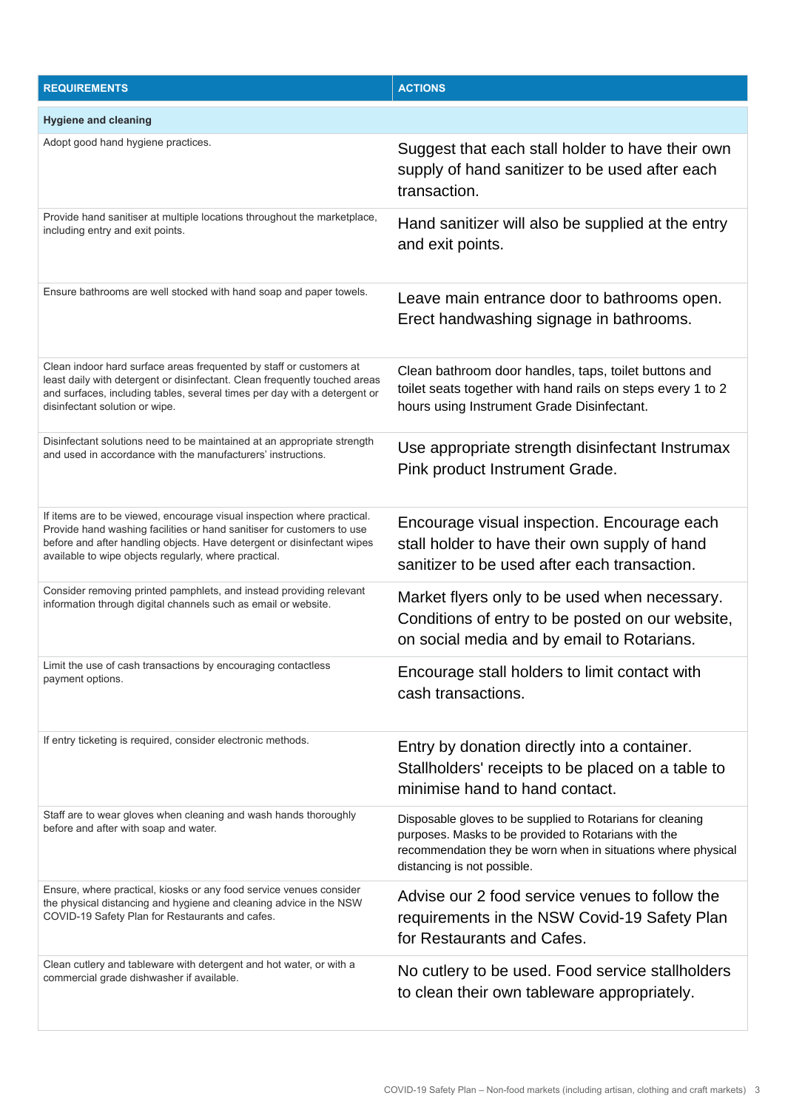| <b>REQUIREMENTS</b>                                                                                                                                                                                                                                                                   | <b>ACTIONS</b>                                                                                                                                                                                                     |
|---------------------------------------------------------------------------------------------------------------------------------------------------------------------------------------------------------------------------------------------------------------------------------------|--------------------------------------------------------------------------------------------------------------------------------------------------------------------------------------------------------------------|
| <b>Hygiene and cleaning</b>                                                                                                                                                                                                                                                           |                                                                                                                                                                                                                    |
| Adopt good hand hygiene practices.                                                                                                                                                                                                                                                    | Suggest that each stall holder to have their own<br>supply of hand sanitizer to be used after each<br>transaction.                                                                                                 |
| Provide hand sanitiser at multiple locations throughout the marketplace,<br>including entry and exit points.                                                                                                                                                                          | Hand sanitizer will also be supplied at the entry<br>and exit points.                                                                                                                                              |
| Ensure bathrooms are well stocked with hand soap and paper towels.                                                                                                                                                                                                                    | Leave main entrance door to bathrooms open.<br>Erect handwashing signage in bathrooms.                                                                                                                             |
| Clean indoor hard surface areas frequented by staff or customers at<br>least daily with detergent or disinfectant. Clean frequently touched areas<br>and surfaces, including tables, several times per day with a detergent or<br>disinfectant solution or wipe.                      | Clean bathroom door handles, taps, toilet buttons and<br>toilet seats together with hand rails on steps every 1 to 2<br>hours using Instrument Grade Disinfectant.                                                 |
| Disinfectant solutions need to be maintained at an appropriate strength<br>and used in accordance with the manufacturers' instructions.                                                                                                                                               | Use appropriate strength disinfectant Instrumax<br>Pink product Instrument Grade.                                                                                                                                  |
| If items are to be viewed, encourage visual inspection where practical.<br>Provide hand washing facilities or hand sanitiser for customers to use<br>before and after handling objects. Have detergent or disinfectant wipes<br>available to wipe objects regularly, where practical. | Encourage visual inspection. Encourage each<br>stall holder to have their own supply of hand<br>sanitizer to be used after each transaction.                                                                       |
| Consider removing printed pamphlets, and instead providing relevant<br>information through digital channels such as email or website.                                                                                                                                                 | Market flyers only to be used when necessary.<br>Conditions of entry to be posted on our website,<br>on social media and by email to Rotarians.                                                                    |
| Limit the use of cash transactions by encouraging contactless<br>payment options.                                                                                                                                                                                                     | Encourage stall holders to limit contact with<br>cash transactions.                                                                                                                                                |
| If entry ticketing is required, consider electronic methods.                                                                                                                                                                                                                          | Entry by donation directly into a container.<br>Stallholders' receipts to be placed on a table to<br>minimise hand to hand contact.                                                                                |
| Staff are to wear gloves when cleaning and wash hands thoroughly<br>before and after with soap and water.                                                                                                                                                                             | Disposable gloves to be supplied to Rotarians for cleaning<br>purposes. Masks to be provided to Rotarians with the<br>recommendation they be worn when in situations where physical<br>distancing is not possible. |
| Ensure, where practical, kiosks or any food service venues consider<br>the physical distancing and hygiene and cleaning advice in the NSW<br>COVID-19 Safety Plan for Restaurants and cafes.                                                                                          | Advise our 2 food service venues to follow the<br>requirements in the NSW Covid-19 Safety Plan<br>for Restaurants and Cafes.                                                                                       |
| Clean cutlery and tableware with detergent and hot water, or with a<br>commercial grade dishwasher if available.                                                                                                                                                                      | No cutlery to be used. Food service stallholders<br>to clean their own tableware appropriately.                                                                                                                    |